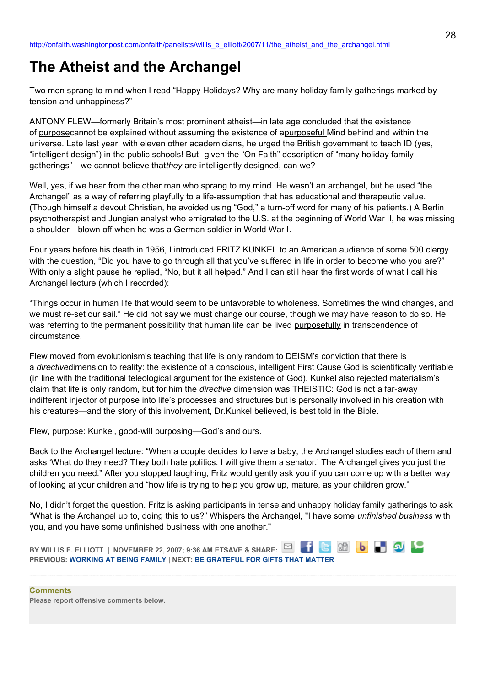## **The Atheist and the Archangel**

Two men sprang to mind when I read "Happy Holidays? Why are many holiday family gatherings marked by tension and unhappiness?"

ANTONY FLEW—formerly Britain's most prominent atheist—in late age concluded that the existence of purposecannot be explained without assuming the existence of a purposeful Mind behind and within the universe. Late last year, with eleven other academicians, he urged the British government to teach ID (yes, "intelligent design") in the public schools! But--given the "On Faith" description of "many holiday family gatherings"—we cannot believe that*they* are intelligently designed, can we?

Well, yes, if we hear from the other man who sprang to my mind. He wasn't an archangel, but he used "the Archangel" as a way of referring playfully to a life-assumption that has educational and therapeutic value. (Though himself a devout Christian, he avoided using "God," a turn-off word for many of his patients.) A Berlin psychotherapist and Jungian analyst who emigrated to the U.S. at the beginning of World War II, he was missing a shoulder—blown off when he was a German soldier in World War I.

Four years before his death in 1956, I introduced FRITZ KUNKEL to an American audience of some 500 clergy with the question, "Did you have to go through all that you've suffered in life in order to become who you are?" With only a slight pause he replied, "No, but it all helped." And I can still hear the first words of what I call his Archangel lecture (which I recorded):

"Things occur in human life that would seem to be unfavorable to wholeness. Sometimes the wind changes, and we must re-set our sail." He did not say we must change our course, though we may have reason to do so. He was referring to the permanent possibility that human life can be lived purposefully in transcendence of circumstance.

Flew moved from evolutionism's teaching that life is only random to DEISM's conviction that there is a *directive*dimension to reality: the existence of a conscious, intelligent First Cause God is scientifically verifiable (in line with the traditional teleological argument for the existence of God). Kunkel also rejected materialism's claim that life is only random, but for him the *directive* dimension was THEISTIC: God is not a far-away indifferent injector of purpose into life's processes and structures but is personally involved in his creation with his creatures—and the story of this involvement, Dr.Kunkel believed, is best told in the Bible.

Flew, purpose: Kunkel, good-will purposing—God's and ours.

Back to the Archangel lecture: "When a couple decides to have a baby, the Archangel studies each of them and asks 'What do they need? They both hate politics. I will give them a senator.' The Archangel gives you just the children you need." After you stopped laughing, Fritz would gently ask you if you can come up with a better way of looking at your children and "how life is trying to help you grow up, mature, as your children grow."

No, I didn't forget the question. Fritz is asking participants in tense and unhappy holiday family gatherings to ask "What is the Archangel up to, doing this to us?" Whispers the Archangel, "I have some *unfinished business* with you, and you have some unfinished business with one another."



**Comments Please report offensive comments below.**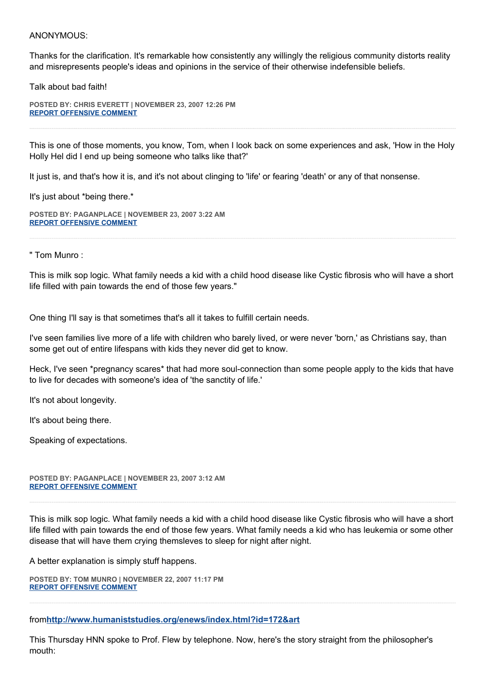## ANONYMOUS:

Thanks for the clarification. It's remarkable how consistently any willingly the religious community distorts reality and misrepresents people's ideas and opinions in the service of their otherwise indefensible beliefs.

Talk about bad faith!

**POSTED BY: CHRIS EVERETT | NOVEMBER 23, 2007 12:26 PM [REPORT OFFENSIVE COMMENT](mailto:blogs@washingtonpost.com?subject=On%20Faith%20Panelists%20Blog%20%20%7C%20%20Chris%20Everett%20%20%7C%20%20The%20Atheist%20and%20the%20Archangel%20%20%7C%20%201768924&body=%0D%0D%0D%0D%0D================%0D?__mode=view%26_type=comment%26id=1768924%26blog_id=618)**

This is one of those moments, you know, Tom, when I look back on some experiences and ask, 'How in the Holy Holly Hel did I end up being someone who talks like that?'

It just is, and that's how it is, and it's not about clinging to 'life' or fearing 'death' or any of that nonsense.

It's just about \*being there.\*

**POSTED BY: PAGANPLACE | NOVEMBER 23, 2007 3:22 AM [REPORT OFFENSIVE COMMENT](mailto:blogs@washingtonpost.com?subject=On%20Faith%20Panelists%20Blog%20%20%7C%20%20Paganplace%20%20%7C%20%20The%20Atheist%20and%20the%20Archangel%20%20%7C%20%201766271&body=%0D%0D%0D%0D%0D================%0D?__mode=view%26_type=comment%26id=1766271%26blog_id=618)**

" Tom Munro :

This is milk sop logic. What family needs a kid with a child hood disease like Cystic fibrosis who will have a short life filled with pain towards the end of those few years."

One thing I'll say is that sometimes that's all it takes to fulfill certain needs.

I've seen families live more of a life with children who barely lived, or were never 'born,' as Christians say, than some get out of entire lifespans with kids they never did get to know.

Heck, I've seen \*pregnancy scares\* that had more soul-connection than some people apply to the kids that have to live for decades with someone's idea of 'the sanctity of life.'

It's not about longevity.

It's about being there.

Speaking of expectations.

**POSTED BY: PAGANPLACE | NOVEMBER 23, 2007 3:12 AM [REPORT OFFENSIVE COMMENT](mailto:blogs@washingtonpost.com?subject=On%20Faith%20Panelists%20Blog%20%20%7C%20%20Paganplace%20%20%7C%20%20The%20Atheist%20and%20the%20Archangel%20%20%7C%20%201766223&body=%0D%0D%0D%0D%0D================%0D?__mode=view%26_type=comment%26id=1766223%26blog_id=618)**

This is milk sop logic. What family needs a kid with a child hood disease like Cystic fibrosis who will have a short life filled with pain towards the end of those few years. What family needs a kid who has leukemia or some other disease that will have them crying themsleves to sleep for night after night.

A better explanation is simply stuff happens.

**POSTED BY: TOM MUNRO | NOVEMBER 22, 2007 11:17 PM [REPORT OFFENSIVE COMMENT](mailto:blogs@washingtonpost.com?subject=On%20Faith%20Panelists%20Blog%20%20%7C%20%20Tom%20Munro%20%20%20%7C%20%20The%20Atheist%20and%20the%20Archangel%20%20%7C%20%201765407&body=%0D%0D%0D%0D%0D================%0D?__mode=view%26_type=comment%26id=1765407%26blog_id=618)**

from**<http://www.humaniststudies.org/enews/index.html?id=172&art>**

This Thursday HNN spoke to Prof. Flew by telephone. Now, here's the story straight from the philosopher's mouth: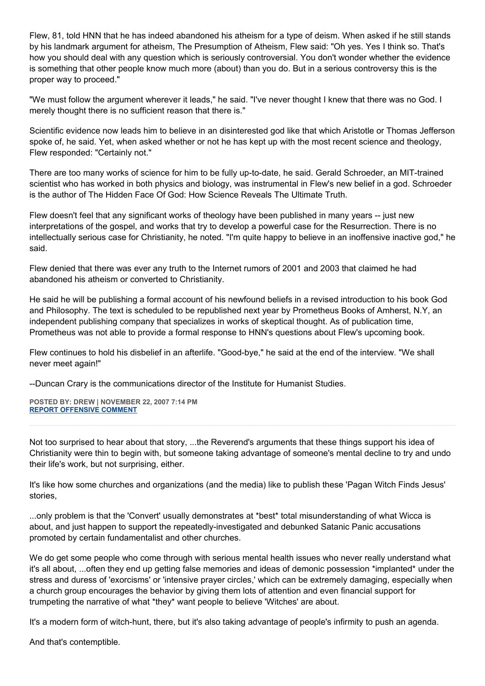Flew, 81, told HNN that he has indeed abandoned his atheism for a type of deism. When asked if he still stands by his landmark argument for atheism, The Presumption of Atheism, Flew said: "Oh yes. Yes I think so. That's how you should deal with any question which is seriously controversial. You don't wonder whether the evidence is something that other people know much more (about) than you do. But in a serious controversy this is the proper way to proceed."

"We must follow the argument wherever it leads," he said. "I've never thought I knew that there was no God. I merely thought there is no sufficient reason that there is."

Scientific evidence now leads him to believe in an disinterested god like that which Aristotle or Thomas Jefferson spoke of, he said. Yet, when asked whether or not he has kept up with the most recent science and theology, Flew responded: "Certainly not."

There are too many works of science for him to be fully up-to-date, he said. Gerald Schroeder, an MIT-trained scientist who has worked in both physics and biology, was instrumental in Flew's new belief in a god. Schroeder is the author of The Hidden Face Of God: How Science Reveals The Ultimate Truth.

Flew doesn't feel that any significant works of theology have been published in many years -- just new interpretations of the gospel, and works that try to develop a powerful case for the Resurrection. There is no intellectually serious case for Christianity, he noted. "I'm quite happy to believe in an inoffensive inactive god," he said.

Flew denied that there was ever any truth to the Internet rumors of 2001 and 2003 that claimed he had abandoned his atheism or converted to Christianity.

He said he will be publishing a formal account of his newfound beliefs in a revised introduction to his book God and Philosophy. The text is scheduled to be republished next year by Prometheus Books of Amherst, N.Y, an independent publishing company that specializes in works of skeptical thought. As of publication time, Prometheus was not able to provide a formal response to HNN's questions about Flew's upcoming book.

Flew continues to hold his disbelief in an afterlife. "Good-bye," he said at the end of the interview. "We shall never meet again!"

--Duncan Crary is the communications director of the Institute for Humanist Studies.

**POSTED BY: DREW | NOVEMBER 22, 2007 7:14 PM [REPORT OFFENSIVE COMMENT](mailto:blogs@washingtonpost.com?subject=On%20Faith%20Panelists%20Blog%20%20%7C%20%20Drew%20%20%7C%20%20The%20Atheist%20and%20the%20Archangel%20%20%7C%20%201764527&body=%0D%0D%0D%0D%0D================%0D?__mode=view%26_type=comment%26id=1764527%26blog_id=618)**

Not too surprised to hear about that story, ...the Reverend's arguments that these things support his idea of Christianity were thin to begin with, but someone taking advantage of someone's mental decline to try and undo their life's work, but not surprising, either.

It's like how some churches and organizations (and the media) like to publish these 'Pagan Witch Finds Jesus' stories,

...only problem is that the 'Convert' usually demonstrates at \*best\* total misunderstanding of what Wicca is about, and just happen to support the repeatedly-investigated and debunked Satanic Panic accusations promoted by certain fundamentalist and other churches.

We do get some people who come through with serious mental health issues who never really understand what it's all about, ...often they end up getting false memories and ideas of demonic possession \*implanted\* under the stress and duress of 'exorcisms' or 'intensive prayer circles,' which can be extremely damaging, especially when a church group encourages the behavior by giving them lots of attention and even financial support for trumpeting the narrative of what \*they\* want people to believe 'Witches' are about.

It's a modern form of witch-hunt, there, but it's also taking advantage of people's infirmity to push an agenda.

And that's contemptible.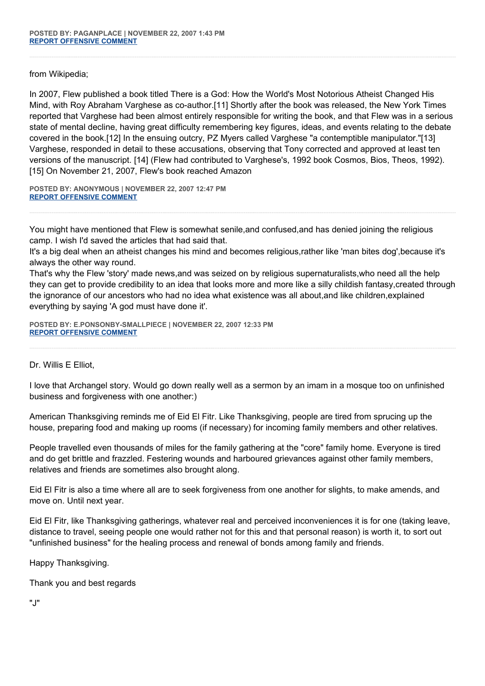from Wikipedia;

In 2007, Flew published a book titled There is a God: How the World's Most Notorious Atheist Changed His Mind, with Roy Abraham Varghese as co-author.[11] Shortly after the book was released, the New York Times reported that Varghese had been almost entirely responsible for writing the book, and that Flew was in a serious state of mental decline, having great difficulty remembering key figures, ideas, and events relating to the debate covered in the book.[12] In the ensuing outcry, PZ Myers called Varghese "a contemptible manipulator."[13] Varghese, responded in detail to these accusations, observing that Tony corrected and approved at least ten versions of the manuscript. [14] (Flew had contributed to Varghese's, 1992 book Cosmos, Bios, Theos, 1992). [15] On November 21, 2007, Flew's book reached Amazon

**POSTED BY: ANONYMOUS | NOVEMBER 22, 2007 12:47 PM [REPORT OFFENSIVE COMMENT](mailto:blogs@washingtonpost.com?subject=On%20Faith%20Panelists%20Blog%20%20%7C%20%20Anonymous%20%20%7C%20%20The%20Atheist%20and%20the%20Archangel%20%20%7C%20%201762917&body=%0D%0D%0D%0D%0D================%0D?__mode=view%26_type=comment%26id=1762917%26blog_id=618)**

You might have mentioned that Flew is somewhat senile,and confused,and has denied joining the religious camp. I wish I'd saved the articles that had said that.

It's a big deal when an atheist changes his mind and becomes religious,rather like 'man bites dog',because it's always the other way round.

That's why the Flew 'story' made news,and was seized on by religious supernaturalists,who need all the help they can get to provide credibility to an idea that looks more and more like a silly childish fantasy,created through the ignorance of our ancestors who had no idea what existence was all about,and like children,explained everything by saying 'A god must have done it'.

**POSTED BY: E.PONSONBY-SMALLPIECE | NOVEMBER 22, 2007 12:33 PM [REPORT OFFENSIVE COMMENT](mailto:blogs@washingtonpost.com?subject=On%20Faith%20Panelists%20Blog%20%20%7C%20%20E.Ponsonby-Smallpiece%20%20%7C%20%20The%20Atheist%20and%20the%20Archangel%20%20%7C%20%201762881&body=%0D%0D%0D%0D%0D================%0D?__mode=view%26_type=comment%26id=1762881%26blog_id=618)**

Dr. Willis E Elliot,

I love that Archangel story. Would go down really well as a sermon by an imam in a mosque too on unfinished business and forgiveness with one another:)

American Thanksgiving reminds me of Eid El Fitr. Like Thanksgiving, people are tired from sprucing up the house, preparing food and making up rooms (if necessary) for incoming family members and other relatives.

People travelled even thousands of miles for the family gathering at the "core" family home. Everyone is tired and do get brittle and frazzled. Festering wounds and harboured grievances against other family members, relatives and friends are sometimes also brought along.

Eid El Fitr is also a time where all are to seek forgiveness from one another for slights, to make amends, and move on. Until next year.

Eid El Fitr, like Thanksgiving gatherings, whatever real and perceived inconveniences it is for one (taking leave, distance to travel, seeing people one would rather not for this and that personal reason) is worth it, to sort out "unfinished business" for the healing process and renewal of bonds among family and friends.

Happy Thanksgiving.

Thank you and best regards

"J"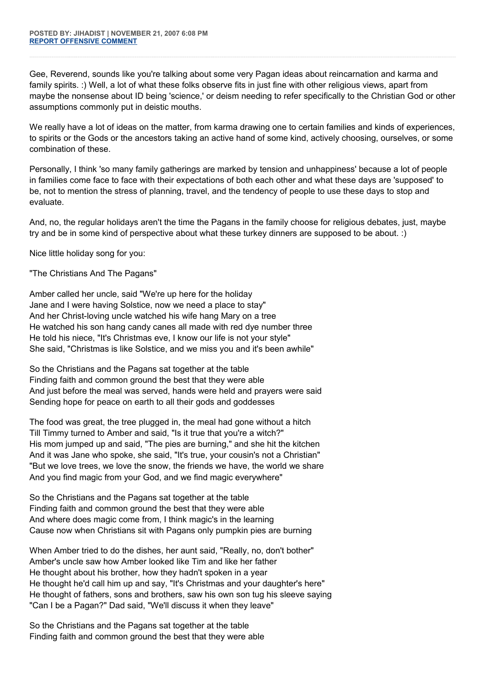Gee, Reverend, sounds like you're talking about some very Pagan ideas about reincarnation and karma and family spirits. :) Well, a lot of what these folks observe fits in just fine with other religious views, apart from maybe the nonsense about ID being 'science,' or deism needing to refer specifically to the Christian God or other assumptions commonly put in deistic mouths.

We really have a lot of ideas on the matter, from karma drawing one to certain families and kinds of experiences, to spirits or the Gods or the ancestors taking an active hand of some kind, actively choosing, ourselves, or some combination of these.

Personally, I think 'so many family gatherings are marked by tension and unhappiness' because a lot of people in families come face to face with their expectations of both each other and what these days are 'supposed' to be, not to mention the stress of planning, travel, and the tendency of people to use these days to stop and evaluate.

And, no, the regular holidays aren't the time the Pagans in the family choose for religious debates, just, maybe try and be in some kind of perspective about what these turkey dinners are supposed to be about. :)

Nice little holiday song for you:

"The Christians And The Pagans"

Amber called her uncle, said "We're up here for the holiday Jane and I were having Solstice, now we need a place to stay" And her Christ-loving uncle watched his wife hang Mary on a tree He watched his son hang candy canes all made with red dye number three He told his niece, "It's Christmas eve, I know our life is not your style" She said, "Christmas is like Solstice, and we miss you and it's been awhile"

So the Christians and the Pagans sat together at the table Finding faith and common ground the best that they were able And just before the meal was served, hands were held and prayers were said Sending hope for peace on earth to all their gods and goddesses

The food was great, the tree plugged in, the meal had gone without a hitch Till Timmy turned to Amber and said, "Is it true that you're a witch?" His mom jumped up and said, "The pies are burning," and she hit the kitchen And it was Jane who spoke, she said, "It's true, your cousin's not a Christian" "But we love trees, we love the snow, the friends we have, the world we share And you find magic from your God, and we find magic everywhere"

So the Christians and the Pagans sat together at the table Finding faith and common ground the best that they were able And where does magic come from, I think magic's in the learning Cause now when Christians sit with Pagans only pumpkin pies are burning

When Amber tried to do the dishes, her aunt said, "Really, no, don't bother" Amber's uncle saw how Amber looked like Tim and like her father He thought about his brother, how they hadn't spoken in a year He thought he'd call him up and say, "It's Christmas and your daughter's here" He thought of fathers, sons and brothers, saw his own son tug his sleeve saying "Can I be a Pagan?" Dad said, "We'll discuss it when they leave"

So the Christians and the Pagans sat together at the table Finding faith and common ground the best that they were able